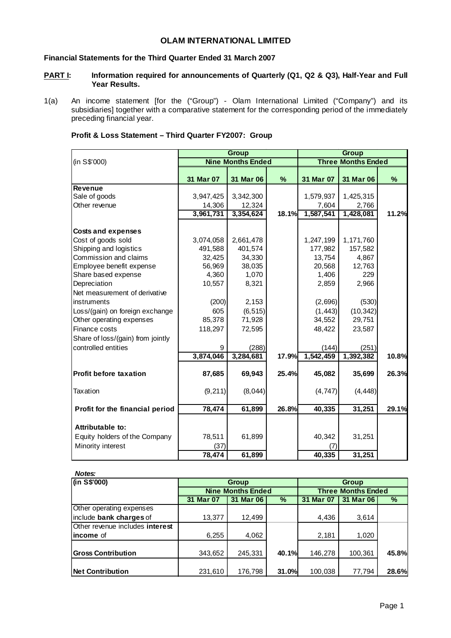## **OLAM INTERNATIONAL LIMITED**

## **Financial Statements for the Third Quarter Ended 31 March 2007**

## **PART I: Information required for announcements of Quarterly (Q1, Q2 & Q3), Half-Year and Full Year Results.**

1(a) An income statement [for the ("Group") - Olam International Limited ("Company") and its subsidiaries] together with a comparative statement for the corresponding period of the immediately preceding financial year.

|                                   |           | <b>Group</b>             |       | <b>Group</b>       |                           |       |  |
|-----------------------------------|-----------|--------------------------|-------|--------------------|---------------------------|-------|--|
| (in S\$'000)                      |           | <b>Nine Months Ended</b> |       |                    | <b>Three Months Ended</b> |       |  |
|                                   | 31 Mar 07 | 31 Mar 06                | %     | 31 Mar 07          | 31 Mar 06                 | %     |  |
| <b>Revenue</b>                    |           |                          |       |                    |                           |       |  |
| Sale of goods                     | 3,947,425 | 3,342,300                |       | 1,579,937          | 1,425,315                 |       |  |
| Other revenue                     | 14,306    | 12,324                   |       | 7,604              | 2.766                     |       |  |
|                                   | 3,961,731 | 3,354,624                | 18.1% | 1,587,541          | 1,428,081                 | 11.2% |  |
| <b>Costs and expenses</b>         |           |                          |       |                    |                           |       |  |
| Cost of goods sold                | 3,074,058 | 2,661,478                |       | 1,247,199          | 1,171,760                 |       |  |
| Shipping and logistics            | 491,588   | 401,574                  |       | 177,982            | 157,582                   |       |  |
| Commission and claims             | 32,425    | 34,330                   |       | 13,754             | 4,867                     |       |  |
| Employee benefit expense          | 56,969    | 38,035                   |       | 20,568             | 12,763                    |       |  |
| Share based expense               | 4,360     | 1,070                    |       | 1,406              | 229                       |       |  |
| Depreciation                      | 10,557    | 8,321                    |       | 2,859              | 2,966                     |       |  |
| Net measurement of derivative     |           |                          |       |                    |                           |       |  |
| instruments                       | (200)     | 2,153                    |       | (2,696)            | (530)                     |       |  |
| Loss/(gain) on foreign exchange   | 605       | (6, 515)                 |       | (1, 443)           | (10, 342)                 |       |  |
| Other operating expenses          | 85,378    | 71,928                   |       | 34,552             | 29,751                    |       |  |
| Finance costs                     | 118,297   | 72,595                   |       | 48,422             | 23,587                    |       |  |
| Share of loss/(gain) from jointly |           |                          |       |                    |                           |       |  |
| controlled entities               | 9         | (288)                    |       |                    |                           |       |  |
|                                   | 3,874,046 | 3,284,681                | 17.9% | (144)<br>1,542,459 | (251)<br>1,392,382        | 10.8% |  |
|                                   |           |                          |       |                    |                           |       |  |
| <b>Profit before taxation</b>     | 87,685    | 69,943                   | 25.4% | 45,082             | 35,699                    | 26.3% |  |
| Taxation                          | (9, 211)  | (8,044)                  |       | (4, 747)           | (4, 448)                  |       |  |
| Profit for the financial period   | 78,474    | 61,899                   | 26.8% | 40,335             | 31,251                    | 29.1% |  |
|                                   |           |                          |       |                    |                           |       |  |
| Attributable to:                  |           |                          |       |                    |                           |       |  |
| Equity holders of the Company     | 78,511    | 61,899                   |       | 40,342             | 31,251                    |       |  |
| Minority interest                 | (37)      |                          |       | (7)                |                           |       |  |
|                                   | 78,474    | 61,899                   |       | 40,335             | 31,251                    |       |  |

## **Profit & Loss Statement – Third Quarter FY2007: Group**

#### *Notes:*

| (in S\$'000)                    |           | <b>Group</b>             |       |                           | <b>Group</b> |       |  |  |
|---------------------------------|-----------|--------------------------|-------|---------------------------|--------------|-------|--|--|
|                                 |           | <b>Nine Months Ended</b> |       | <b>Three Months Ended</b> |              |       |  |  |
|                                 | 31 Mar 07 | 31 Mar 06                | $\%$  | 31 Mar 07                 | 31 Mar 06    | %     |  |  |
| Other operating expenses        |           |                          |       |                           |              |       |  |  |
| include bank charges of         | 13,377    | 12,499                   |       | 4,436                     | 3,614        |       |  |  |
| Other revenue includes interest |           |                          |       |                           |              |       |  |  |
| income of                       | 6,255     | 4,062                    |       | 2,181                     | 1,020        |       |  |  |
|                                 |           |                          |       |                           |              |       |  |  |
| <b>Gross Contribution</b>       | 343,652   | 245,331                  | 40.1% | 146,278                   | 100,361      | 45.8% |  |  |
|                                 |           |                          |       |                           |              |       |  |  |
| <b>Net Contribution</b>         | 231,610   | 176,798                  | 31.0% | 100,038                   | 77,794       | 28.6% |  |  |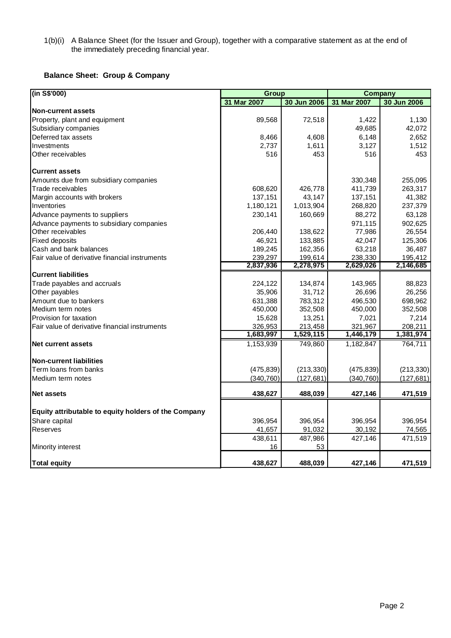1(b)(i) A Balance Sheet (for the Issuer and Group), together with a comparative statement as at the end of the immediately preceding financial year.

# **Balance Sheet: Group & Company**

| (in S\$'000)                                         | <b>Group</b> |             | <b>Company</b> |             |
|------------------------------------------------------|--------------|-------------|----------------|-------------|
|                                                      | 31 Mar 2007  | 30 Jun 2006 | 31 Mar 2007    | 30 Jun 2006 |
| <b>Non-current assets</b>                            |              |             |                |             |
| Property, plant and equipment                        | 89,568       | 72,518      | 1,422          | 1,130       |
| Subsidiary companies                                 |              |             | 49,685         | 42,072      |
| Deferred tax assets                                  | 8,466        | 4,608       | 6,148          | 2,652       |
| Investments                                          | 2,737        | 1,611       | 3,127          | 1,512       |
| Other receivables                                    | 516          | 453         | 516            | 453         |
| <b>Current assets</b>                                |              |             |                |             |
| Amounts due from subsidiary companies                |              |             | 330,348        | 255,095     |
| Trade receivables                                    | 608,620      | 426,778     | 411,739        | 263,317     |
| Margin accounts with brokers                         | 137,151      | 43,147      | 137,151        | 41,382      |
| Inventories                                          | 1,180,121    | 1,013,904   | 268,820        | 237,379     |
| Advance payments to suppliers                        | 230,141      | 160,669     | 88,272         | 63,128      |
| Advance payments to subsidiary companies             |              |             | 971,115        | 902,625     |
| Other receivables                                    | 206,440      | 138,622     | 77,986         | 26,554      |
| <b>Fixed deposits</b>                                | 46,921       | 133,885     | 42,047         | 125,306     |
| Cash and bank balances                               | 189,245      | 162,356     | 63,218         | 36,487      |
| Fair value of derivative financial instruments       | 239,297      | 199,614     | 238,330        | 195,412     |
|                                                      | 2,837,936    | 2,278,975   | 2,629,026      | 2,146,685   |
| <b>Current liabilities</b>                           |              |             |                |             |
| Trade payables and accruals                          | 224,122      | 134,874     | 143,965        | 88,823      |
| Other payables                                       | 35,906       | 31,712      | 26,696         | 26,256      |
| Amount due to bankers                                | 631,388      | 783,312     | 496,530        | 698,962     |
| Medium term notes                                    | 450,000      | 352,508     | 450,000        | 352,508     |
| Provision for taxation                               | 15,628       | 13,251      | 7,021          | 7,214       |
| Fair value of derivative financial instruments       | 326,953      | 213,458     | 321,967        | 208,211     |
|                                                      | 1,683,997    | 1,529,115   | 1,446,179      | 1,381,974   |
| <b>Net current assets</b>                            | 1,153,939    | 749,860     | 1,182,847      | 764,711     |
| <b>Non-current liabilities</b>                       |              |             |                |             |
| Term loans from banks                                | (475, 839)   | (213, 330)  | (475, 839)     | (213, 330)  |
| Medium term notes                                    | (340, 760)   | (127, 681)  | (340, 760)     | (127, 681)  |
| <b>Net assets</b>                                    | 438,627      | 488,039     | 427,146        | 471,519     |
| Equity attributable to equity holders of the Company |              |             |                |             |
| Share capital                                        | 396,954      | 396,954     | 396,954        | 396,954     |
| Reserves                                             | 41,657       | 91,032      | 30,192         | 74,565      |
|                                                      | 438,611      | 487,986     | 427,146        | 471,519     |
| <b>Minority interest</b>                             | 16           | 53          |                |             |
| <b>Total equity</b>                                  | 438.627      | 488,039     | 427,146        | 471,519     |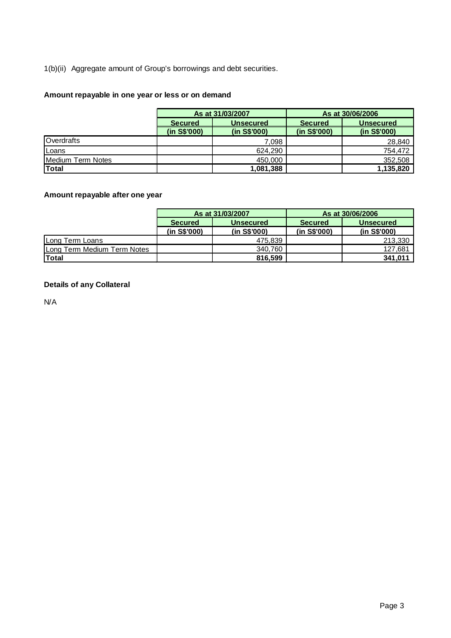# 1(b)(ii) Aggregate amount of Group's borrowings and debt securities.

# **Amount repayable in one year or less or on demand**

|                   |                | As at 31/03/2007 |                | As at 30/06/2006 |
|-------------------|----------------|------------------|----------------|------------------|
|                   | <b>Secured</b> | <b>Unsecured</b> | <b>Secured</b> | <b>Unsecured</b> |
|                   | (in S\$'000)   | (in S\$'000)     | (in S\$'000)   | (in S\$'000)     |
| Overdrafts        |                | 7.098            |                | 28,840           |
| Loans             |                | 624.290          |                | 754.472          |
| Medium Term Notes |                | 450,000          |                | 352,508          |
| Total             |                | 1,081,388        |                | 1,135,820        |

## **Amount repayable after one year**

|                             |                | As at 31/03/2007 |                | As at 30/06/2006 |
|-----------------------------|----------------|------------------|----------------|------------------|
|                             | <b>Secured</b> | <b>Unsecured</b> | <b>Secured</b> | <b>Unsecured</b> |
|                             | (in S\$'000)   | (in S\$'000)     | (in S\$'000)   | (in S\$'000)     |
| ILong Term Loans            |                | 475.839          |                | 213.330          |
| Long Term Medium Term Notes |                | 340,760          |                | 127,681          |
| <b>Total</b>                |                | 816,599          |                | 341.011          |

# **Details of any Collateral**

N/A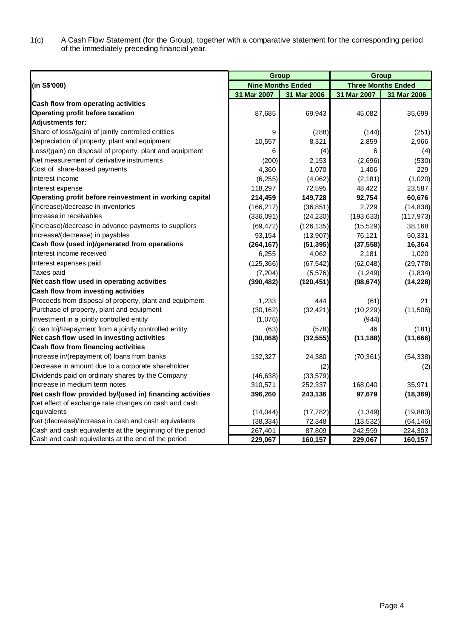1(c) A Cash Flow Statement (for the Group), together with a comparative statement for the corresponding period of the immediately preceding financial year.

|                                                          |             | <b>Group</b>             | <b>Group</b> |                           |
|----------------------------------------------------------|-------------|--------------------------|--------------|---------------------------|
| (in S\$'000)                                             |             | <b>Nine Months Ended</b> |              | <b>Three Months Ended</b> |
|                                                          | 31 Mar 2007 | 31 Mar 2006              | 31 Mar 2007  | 31 Mar 2006               |
| Cash flow from operating activities                      |             |                          |              |                           |
| Operating profit before taxation                         | 87,685      | 69,943                   | 45,082       | 35,699                    |
| <b>Adjustments for:</b>                                  |             |                          |              |                           |
| Share of loss/(gain) of jointly controlled entities      | 9           | (288)                    | (144)        | (251)                     |
| Depreciation of property, plant and equipment            | 10,557      | 8,321                    | 2,859        | 2,966                     |
| Loss/(gain) on disposal of property, plant and equipment | 6           | (4)                      | 6            | (4)                       |
| Net measurement of derivative instruments                | (200)       | 2,153                    | (2,696)      | (530)                     |
| Cost of share-based payments                             | 4,360       | 1,070                    | 1,406        | 229                       |
| Interest income                                          | (6, 255)    | (4,062)                  | (2, 181)     | (1,020)                   |
| Interest expense                                         | 118,297     | 72,595                   | 48,422       | 23,587                    |
| Operating profit before reinvestment in working capital  | 214,459     | 149,728                  | 92,754       | 60,676                    |
| (Increase)/decrease in inventories                       | (166, 217)  | (36, 851)                | 2,729        | (14, 838)                 |
| Increase in receivables                                  | (336,091)   | (24, 230)                | (193, 633)   | (117, 973)                |
| (Increase)/decrease in advance payments to suppliers     | (69, 472)   | (126, 135)               | (15, 529)    | 38,168                    |
| Increase/(decrease) in payables                          | 93,154      | (13,907)                 | 76,121       | 50,331                    |
| Cash flow (used in)/generated from operations            | (264, 167)  | (51, 395)                | (37, 558)    | 16,364                    |
| Interest income received                                 | 6,255       | 4,062                    | 2,181        | 1,020                     |
| Interest expenses paid                                   | (125, 366)  | (67, 542)                | (62, 048)    | (29, 778)                 |
| Taxes paid                                               | (7, 204)    | (5,576)                  | (1, 249)     | (1,834)                   |
| Net cash flow used in operating activities               | (390, 482)  | (120, 451)               | (98, 674)    | (14, 228)                 |
| Cash flow from investing activities                      |             |                          |              |                           |
| Proceeds from disposal of property, plant and equipment  | 1,233       | 444                      | (61)         | 21                        |
| Purchase of property, plant and equipment                | (30, 162)   | (32, 421)                | (10, 229)    | (11,506)                  |
| Investment in a jointly controlled entity                | (1,076)     |                          | (944)        |                           |
| (Loan to)/Repayment from a jointly controlled entity     | (63)        | (578)                    | 46           | (181)                     |
| Net cash flow used in investing activities               | (30,068)    | (32, 555)                | (11, 188)    | (11,666)                  |
| Cash flow from financing activities                      |             |                          |              |                           |
| Increase in/(repayment of) loans from banks              | 132,327     | 24,380                   | (70, 361)    | (54, 338)                 |
| Decrease in amount due to a corporate shareholder        |             | (2)                      |              | (2)                       |
| Dividends paid on ordinary shares by the Company         | (46, 638)   | (33,579)                 |              |                           |
| Increase in medium term notes                            | 310,571     | 252,337                  | 168,040      | 35,971                    |
| Net cash flow provided by/(used in) financing activities | 396,260     | 243,136                  | 97,679       | (18, 369)                 |
| Net effect of exchange rate changes on cash and cash     |             |                          |              |                           |
| equivalents                                              | (14, 044)   | (17, 782)                | (1, 349)     | (19, 883)                 |
| Net (decrease)/increase in cash and cash equivalents     | (38, 334)   | 72,348                   | (13, 532)    | (64, 146)                 |
| Cash and cash equivalents at the beginning of the period | 267,401     | 87,809                   | 242,599      | 224,303                   |
| Cash and cash equivalents at the end of the period       | 229,067     | 160,157                  | 229,067      | 160,157                   |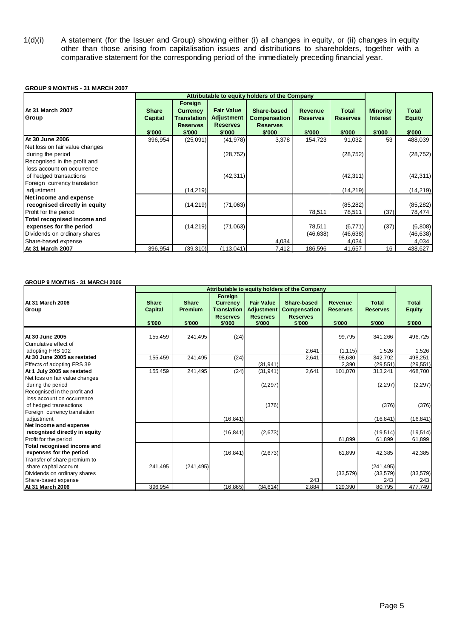1(d)(i) A statement (for the Issuer and Group) showing either (i) all changes in equity, or (ii) changes in equity other than those arising from capitalisation issues and distributions to shareholders, together with a comparative statement for the corresponding period of the immediately preceding financial year.

#### **GROUP 9 MONTHS - 31 MARCH 2007**

|                                                                                                               |                                          |                                                                               |                                                                     | Attributable to equity holders of the Company                   |                                             |                                    |                                              |                                         |
|---------------------------------------------------------------------------------------------------------------|------------------------------------------|-------------------------------------------------------------------------------|---------------------------------------------------------------------|-----------------------------------------------------------------|---------------------------------------------|------------------------------------|----------------------------------------------|-----------------------------------------|
| At 31 March 2007<br>Group                                                                                     | <b>Share</b><br><b>Capital</b><br>\$'000 | Foreign<br><b>Currency</b><br><b>Translation</b><br><b>Reserves</b><br>\$'000 | <b>Fair Value</b><br><b>Adjustment</b><br><b>Reserves</b><br>\$'000 | Share-based<br><b>Compensation</b><br><b>Reserves</b><br>\$'000 | <b>Revenue</b><br><b>Reserves</b><br>\$'000 | Total<br><b>Reserves</b><br>\$'000 | <b>Minority</b><br><b>Interest</b><br>\$'000 | <b>Total</b><br><b>Equity</b><br>\$'000 |
| At 30 June 2006                                                                                               | 396,954                                  | (25,091)                                                                      | (41, 978)                                                           | 3,378                                                           | 154,723                                     | 91,032                             | 53                                           | 488,039                                 |
| Net loss on fair value changes<br>during the period<br>Recognised in the profit and                           |                                          |                                                                               | (28, 752)                                                           |                                                                 |                                             | (28, 752)                          |                                              | (28, 752)                               |
| loss account on occurrence<br>of hedged transactions<br>Foreign currency translation                          |                                          |                                                                               | (42, 311)                                                           |                                                                 |                                             | (42, 311)                          |                                              | (42, 311)                               |
| adjustment                                                                                                    |                                          | (14,219)                                                                      |                                                                     |                                                                 |                                             | (14,219)                           |                                              | (14, 219)                               |
| Net income and expense<br>recognised directly in equity<br>Profit for the period                              |                                          | (14,219)                                                                      | (71,063)                                                            |                                                                 | 78,511                                      | (85, 282)<br>78,511                | (37)                                         | (85, 282)<br>78,474                     |
| Total recognised income and<br>expenses for the period<br>Dividends on ordinary shares<br>Share-based expense |                                          | (14,219)                                                                      | (71,063)                                                            | 4,034                                                           | 78,511<br>(46, 638)                         | (6,771)<br>(46, 638)<br>4,034      | (37)                                         | (6,808)<br>(46, 638)<br>4,034           |
| At 31 March 2007                                                                                              | 396,954                                  | (39, 310)                                                                     | (113,041)                                                           | 7,412                                                           | 186,596                                     | 41,657                             | 16                                           | 438,627                                 |

#### **GROUP 9 MONTHS - 31 MARCH 2006**

|                                      |                                   |                                          |                                                                        |                                                                     | Attributable to equity holders of the Company                   |                                             |                                           |                                  |
|--------------------------------------|-----------------------------------|------------------------------------------|------------------------------------------------------------------------|---------------------------------------------------------------------|-----------------------------------------------------------------|---------------------------------------------|-------------------------------------------|----------------------------------|
| At 31 March 2006<br>Group            | <b>Share</b><br>Capital<br>\$'000 | <b>Share</b><br><b>Premium</b><br>\$'000 | Foreign<br>Currency<br><b>Translation</b><br><b>Reserves</b><br>\$'000 | <b>Fair Value</b><br><b>Adjustment</b><br><b>Reserves</b><br>\$'000 | Share-based<br><b>Compensation</b><br><b>Reserves</b><br>\$'000 | <b>Revenue</b><br><b>Reserves</b><br>\$'000 | <b>Total</b><br><b>Reserves</b><br>\$'000 | Total<br><b>Equity</b><br>\$'000 |
|                                      |                                   |                                          |                                                                        |                                                                     |                                                                 |                                             |                                           |                                  |
| At 30 June 2005                      | 155,459                           | 241,495                                  | (24)                                                                   |                                                                     |                                                                 | 99,795                                      | 341,266                                   | 496,725                          |
| Cumulative effect of                 |                                   |                                          |                                                                        |                                                                     |                                                                 |                                             |                                           |                                  |
| adopting FRS 102                     |                                   |                                          |                                                                        |                                                                     | 2,641                                                           | (1, 115)                                    | 1,526                                     | 1,526                            |
| At 30 June 2005 as restated          | 155,459                           | 241,495                                  | (24)                                                                   |                                                                     | 2,641                                                           | 98,680                                      | 342,792                                   | 498,251                          |
| Effects of adopting FRS 39           |                                   |                                          |                                                                        | (31, 941)                                                           |                                                                 | 2,390                                       | (29, 551)                                 | (29, 551)                        |
| At 1 July 2005 as restated           | 155,459                           | 241,495                                  | (24)                                                                   | (31, 941)                                                           | 2,641                                                           | 101,070                                     | 313,241                                   | 468,700                          |
| Net loss on fair value changes       |                                   |                                          |                                                                        |                                                                     |                                                                 |                                             |                                           |                                  |
| during the period                    |                                   |                                          |                                                                        | (2,297)                                                             |                                                                 |                                             | (2, 297)                                  | (2, 297)                         |
| Recognised in the profit and         |                                   |                                          |                                                                        |                                                                     |                                                                 |                                             |                                           |                                  |
| loss account on occurrence           |                                   |                                          |                                                                        |                                                                     |                                                                 |                                             |                                           |                                  |
| of hedged transactions               |                                   |                                          |                                                                        | (376)                                                               |                                                                 |                                             | (376)                                     | (376)                            |
| Foreign currency translation         |                                   |                                          |                                                                        |                                                                     |                                                                 |                                             |                                           |                                  |
| adjustment<br>Net income and expense |                                   |                                          | (16, 841)                                                              |                                                                     |                                                                 |                                             | (16, 841)                                 | (16, 841)                        |
| recognised directly in equity        |                                   |                                          | (16, 841)                                                              | (2,673)                                                             |                                                                 |                                             | (19, 514)                                 | (19, 514)                        |
| Profit for the period                |                                   |                                          |                                                                        |                                                                     |                                                                 | 61,899                                      | 61,899                                    | 61,899                           |
| Total recognised income and          |                                   |                                          |                                                                        |                                                                     |                                                                 |                                             |                                           |                                  |
| expenses for the period              |                                   |                                          | (16, 841)                                                              | (2,673)                                                             |                                                                 | 61,899                                      | 42,385                                    | 42,385                           |
| Transfer of share premium to         |                                   |                                          |                                                                        |                                                                     |                                                                 |                                             |                                           |                                  |
| share capital account                | 241,495                           | (241, 495)                               |                                                                        |                                                                     |                                                                 |                                             | (241, 495)                                |                                  |
| Dividends on ordinary shares         |                                   |                                          |                                                                        |                                                                     |                                                                 | (33, 579)                                   | (33,579)                                  | (33, 579)                        |
| Share-based expense                  |                                   |                                          |                                                                        |                                                                     | 243                                                             |                                             | 243                                       | 243                              |
| At 31 March 2006                     | 396,954                           |                                          | (16, 865)                                                              | (34, 614)                                                           | 2,884                                                           | 129,390                                     | 80,795                                    | 477,749                          |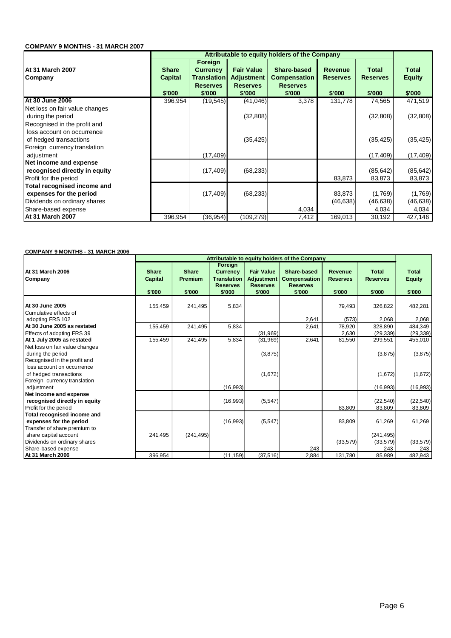# **COMPANY 9 MONTHS - 31 MARCH 2007**

|                                                                                                                      |                                   |                                                                         |                                                                     | Attributable to equity holders of the Company                   |                                             |                                           |                                         |
|----------------------------------------------------------------------------------------------------------------------|-----------------------------------|-------------------------------------------------------------------------|---------------------------------------------------------------------|-----------------------------------------------------------------|---------------------------------------------|-------------------------------------------|-----------------------------------------|
| At 31 March 2007<br>Company                                                                                          | <b>Share</b><br>Capital<br>\$'000 | Foreign<br><b>Currency</b><br>Translation∥<br><b>Reserves</b><br>\$'000 | <b>Fair Value</b><br><b>Adjustment</b><br><b>Reserves</b><br>\$'000 | Share-based<br><b>Compensation</b><br><b>Reserves</b><br>\$'000 | <b>Revenue</b><br><b>Reserves</b><br>\$'000 | <b>Total</b><br><b>Reserves</b><br>\$'000 | <b>Total</b><br><b>Equity</b><br>\$'000 |
| At 30 June 2006                                                                                                      | 396,954                           | (19, 545)                                                               | (41,046)                                                            | 3,378                                                           | 131,778                                     | 74,565                                    | 471,519                                 |
| Net loss on fair value changes<br>during the period                                                                  |                                   |                                                                         | (32,808)                                                            |                                                                 |                                             | (32,808)                                  | (32,808)                                |
| Recognised in the profit and<br>loss account on occurrence<br>of hedged transactions<br>Foreign currency translation |                                   |                                                                         | (35, 425)                                                           |                                                                 |                                             | (35, 425)                                 | (35, 425)                               |
| adjustment                                                                                                           |                                   | (17, 409)                                                               |                                                                     |                                                                 |                                             | (17, 409)                                 | (17, 409)                               |
| Net income and expense<br>recognised directly in equity<br>Profit for the period                                     |                                   | (17, 409)                                                               | (68, 233)                                                           |                                                                 | 83,873                                      | (85, 642)<br>83,873                       | (85, 642)<br>83,873                     |
| Total recognised income and<br>expenses for the period<br>Dividends on ordinary shares<br>Share-based expense        |                                   | (17, 409)                                                               | (68, 233)                                                           | 4,034                                                           | 83,873<br>(46, 638)                         | (1,769)<br>(46,638) <br>4,034             | (1,769)<br>(46, 638)<br>4,034           |
| At 31 March 2007                                                                                                     | 396,954                           | (36, 954)                                                               | (109,279)                                                           | 7,412                                                           | 169,013                                     | 30,192                                    | 427,146                                 |

#### **COMPANY 9 MONTHS - 31 MARCH 2006**

|                                                                                                                                                 |                                   |                                          |                                                                               |                                                                     | Attributable to equity holders of the Company            |                                      |                                           |                                         |
|-------------------------------------------------------------------------------------------------------------------------------------------------|-----------------------------------|------------------------------------------|-------------------------------------------------------------------------------|---------------------------------------------------------------------|----------------------------------------------------------|--------------------------------------|-------------------------------------------|-----------------------------------------|
| At 31 March 2006<br>Company                                                                                                                     | <b>Share</b><br>Capital<br>\$'000 | <b>Share</b><br><b>Premium</b><br>\$'000 | Foreign<br><b>Currency</b><br><b>Translation</b><br><b>Reserves</b><br>\$'000 | <b>Fair Value</b><br><b>Adjustment</b><br><b>Reserves</b><br>\$'000 | Share-based<br>Compensation<br><b>Reserves</b><br>\$'000 | Revenue<br><b>Reserves</b><br>\$'000 | <b>Total</b><br><b>Reserves</b><br>\$'000 | <b>Total</b><br><b>Equity</b><br>\$'000 |
| At 30 June 2005<br>Cumulative effects of<br>adopting FRS 102                                                                                    | 155,459                           | 241,495                                  | 5,834                                                                         |                                                                     | 2,641                                                    | 79,493<br>(573)                      | 326,822<br>2,068                          | 482,281<br>2,068                        |
| At 30 June 2005 as restated<br>Effects of adopting FRS 39                                                                                       | 155,459                           | 241,495                                  | 5,834                                                                         | (31,969)                                                            | 2,641                                                    | 78,920<br>2,630                      | 328,890<br>(29, 339)                      | 484,349<br>(29, 339)                    |
| At 1 July 2005 as restated<br>Net loss on fair value changes<br>during the period<br>Recognised in the profit and<br>loss account on occurrence | 155,459                           | 241,495                                  | 5,834                                                                         | (31,969)<br>(3,875)                                                 | 2,641                                                    | 81,550                               | 299,551<br>(3,875)                        | 455,010<br>(3, 875)                     |
| of hedged transactions<br>Foreign currency translation<br>adjustment                                                                            |                                   |                                          | (16,993)                                                                      | (1,672)                                                             |                                                          |                                      | (1,672)<br>(16,993)                       | (1,672)<br>(16,993)                     |
| Net income and expense<br>recognised directly in equity<br>Profit for the period                                                                |                                   |                                          | (16,993)                                                                      | (5,547)                                                             |                                                          | 83,809                               | (22,540)<br>83,809                        | (22, 540)<br>83,809                     |
| Total recognised income and<br>expenses for the period<br>Transfer of share premium to                                                          |                                   |                                          | (16,993)                                                                      | (5,547)                                                             |                                                          | 83,809                               | 61,269                                    | 61,269                                  |
| share capital account<br>Dividends on ordinary shares<br>Share-based expense                                                                    | 241,495                           | (241, 495)                               |                                                                               |                                                                     | 243                                                      | (33, 579)                            | (241, 495)<br>(33, 579)<br>243            | (33,579)<br>243                         |
| At 31 March 2006                                                                                                                                | 396,954                           |                                          | (11, 159)                                                                     | (37,516)                                                            | 2,884                                                    | 131,780                              | 85,989                                    | 482,943                                 |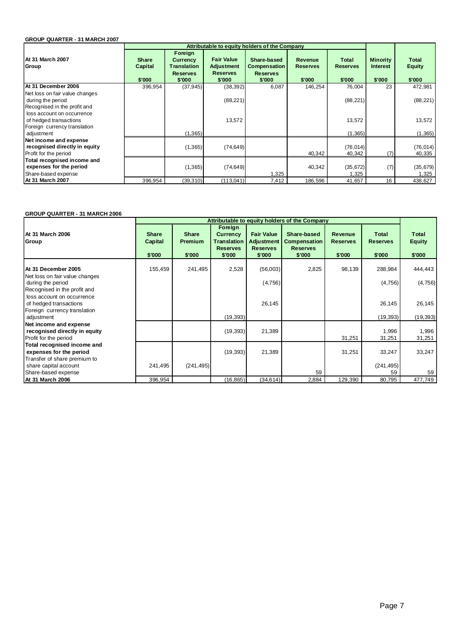## **GROUP QUARTER - 31 MARCH 2007**

|                                                                                      |                                   |                                                                               |                                                                    | Attributable to equity holders of the Company            |                                             |                                           |                                              |                                         |
|--------------------------------------------------------------------------------------|-----------------------------------|-------------------------------------------------------------------------------|--------------------------------------------------------------------|----------------------------------------------------------|---------------------------------------------|-------------------------------------------|----------------------------------------------|-----------------------------------------|
| At 31 March 2007<br>Group                                                            | <b>Share</b><br>Capital<br>\$'000 | Foreign<br><b>Currency</b><br><b>Translation</b><br><b>Reserves</b><br>\$'000 | <b>Fair Value</b><br><b>Adjustment</b><br><b>Reserves</b><br>\$000 | Share-based<br>Compensation<br><b>Reserves</b><br>\$'000 | <b>Revenue</b><br><b>Reserves</b><br>\$'000 | <b>Total</b><br><b>Reserves</b><br>\$'000 | <b>Minority</b><br><b>Interest</b><br>\$'000 | <b>Total</b><br><b>Equity</b><br>\$'000 |
| At 31 December 2006                                                                  | 396,954                           | (37, 945)                                                                     | (38, 392)                                                          | 6,087                                                    | 146,254                                     | 76,004                                    | 23                                           | 472,981                                 |
| Net loss on fair value changes<br>during the period<br>Recognised in the profit and  |                                   |                                                                               | (88, 221)                                                          |                                                          |                                             | (88, 221)                                 |                                              | (88, 221)                               |
| loss account on occurrence<br>of hedged transactions<br>Foreign currency translation |                                   |                                                                               | 13,572                                                             |                                                          |                                             | 13,572                                    |                                              | 13,572                                  |
| adjustment                                                                           |                                   | (1,365)                                                                       |                                                                    |                                                          |                                             | (1,365)                                   |                                              | (1,365)                                 |
| Net income and expense<br>recognised directly in equity<br>Profit for the period     |                                   | (1,365)                                                                       | (74, 649)                                                          |                                                          | 40,342                                      | (76, 014)<br>40,342                       | (7)                                          | (76, 014)<br>40,335                     |
| Total recognised income and<br>expenses for the period<br>Share-based expense        |                                   | (1, 365)                                                                      | (74, 649)                                                          | 1,325                                                    | 40,342                                      | (35,672)<br>1,325                         | (7)                                          | (35, 679)<br>1,325                      |
| At 31 March 2007                                                                     | 396,954                           | (39,310)                                                                      | (113,041)                                                          | 7,412                                                    | 186,596                                     | 41,657                                    | 16                                           | 438,627                                 |

## **GROUP QUARTER - 31 MARCH 2006**

| Foreign<br>At 31 March 2006<br><b>Share</b><br><b>Share</b><br><b>Fair Value</b><br>Share-based<br><b>Total</b><br><b>Currency</b><br><b>Revenue</b><br>Group<br><b>Capital</b><br><b>Translation</b><br><b>Adjustment</b><br><b>Compensation</b><br><b>Premium</b><br><b>Reserves</b><br><b>Reserves</b><br><b>Reserves</b><br><b>Reserves</b><br><b>Reserves</b><br>\$'000<br>\$'000<br>\$'000<br>\$'000<br>\$'000<br>\$000<br>\$'000 | Total<br><b>Equity</b> |  |  |  |  |  |
|-----------------------------------------------------------------------------------------------------------------------------------------------------------------------------------------------------------------------------------------------------------------------------------------------------------------------------------------------------------------------------------------------------------------------------------------|------------------------|--|--|--|--|--|
|                                                                                                                                                                                                                                                                                                                                                                                                                                         | \$'000                 |  |  |  |  |  |
| At 31 December 2005<br>2,528<br>(56,003)<br>2,825<br>155,459<br>241,495<br>98,139<br>288,984<br>Net loss on fair value changes<br>(4,756)<br>(4,756)<br>during the period<br>Recognised in the profit and                                                                                                                                                                                                                               | 444,443<br>(4, 756)    |  |  |  |  |  |
| loss account on occurrence<br>26,145<br>26,145<br>of hedged transactions<br>Foreign currency translation<br>(19, 393)<br>(19, 393)<br>adjustment                                                                                                                                                                                                                                                                                        | 26,145<br>(19, 393)    |  |  |  |  |  |
| Net income and expense<br>21,389<br>(19, 393)<br>1,996<br>recognised directly in equity<br>31,251<br>31,251<br>Profit for the period                                                                                                                                                                                                                                                                                                    | 1,996<br>31,251        |  |  |  |  |  |
| Total recognised income and<br>(19, 393)<br>21,389<br>31,251<br>33,247<br>expenses for the period<br>Transfer of share premium to                                                                                                                                                                                                                                                                                                       | 33,247                 |  |  |  |  |  |
| 241,495<br>(241, 495)<br>share capital account<br>(241, 495)<br>Share-based expense<br>59<br>59<br>396,954<br>(16, 865)<br>(34, 614)<br>129,390<br>80,795<br>At 31 March 2006<br>2,884                                                                                                                                                                                                                                                  | 59<br>477,749          |  |  |  |  |  |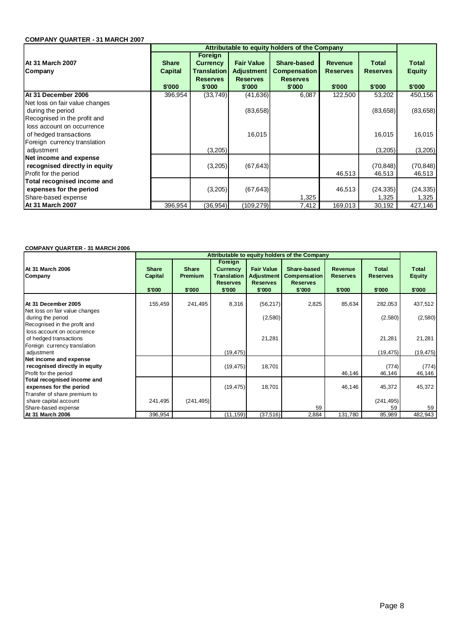## **COMPANY QUARTER - 31 MARCH 2007**

|                                                                                      |                                          | Attributable to equity holders of the Company                                        |                                                                     |                                                                 |                                             |                                    |                                         |  |
|--------------------------------------------------------------------------------------|------------------------------------------|--------------------------------------------------------------------------------------|---------------------------------------------------------------------|-----------------------------------------------------------------|---------------------------------------------|------------------------------------|-----------------------------------------|--|
| <b>At 31 March 2007</b><br>Company                                                   | <b>Share</b><br><b>Capital</b><br>\$'000 | <b>Foreign</b><br><b>Currency</b><br><b>Translation</b><br><b>Reserves</b><br>\$'000 | <b>Fair Value</b><br><b>Adjustment</b><br><b>Reserves</b><br>\$'000 | Share-based<br><b>Compensation</b><br><b>Reserves</b><br>\$'000 | <b>Revenue</b><br><b>Reserves</b><br>\$'000 | Total<br><b>Reserves</b><br>\$'000 | <b>Total</b><br><b>Equity</b><br>\$'000 |  |
| At 31 December 2006                                                                  | 396,954                                  | (33,749)                                                                             | (41,636)                                                            | 6,087                                                           | 122,500                                     | 53,202                             | 450,156                                 |  |
| Net loss on fair value changes<br>during the period<br>Recognised in the profit and  |                                          |                                                                                      | (83,658)                                                            |                                                                 |                                             | (83, 658)                          | (83, 658)                               |  |
| loss account on occurrence<br>of hedged transactions<br>Foreign currency translation |                                          |                                                                                      | 16,015                                                              |                                                                 |                                             | 16,015                             | 16,015                                  |  |
| adjustment                                                                           |                                          | (3,205)                                                                              |                                                                     |                                                                 |                                             | (3,205)                            | (3,205)                                 |  |
| Net income and expense<br>recognised directly in equity<br>Profit for the period     |                                          | (3,205)                                                                              | (67, 643)                                                           |                                                                 | 46,513                                      | (70, 848)<br>46,513                | (70, 848)<br>46,513                     |  |
| Total recognised income and<br>expenses for the period<br>Share-based expense        |                                          | (3,205)                                                                              | (67, 643)                                                           | 1,325                                                           | 46,513                                      | (24, 335)<br>1,325                 | (24, 335)<br>1,325                      |  |
| At 31 March 2007                                                                     | 396,954                                  | (36, 954)                                                                            | (109,279)                                                           | 7,412                                                           | 169,013                                     | 30,192                             | 427,146                                 |  |

## **COMPANY QUARTER - 31 MARCH 2006**

|                                                                                        |                                          |                                          |                                                                        |                                                                     | Attributable to equity holders of the Company            |                                             |                                           |                                         |
|----------------------------------------------------------------------------------------|------------------------------------------|------------------------------------------|------------------------------------------------------------------------|---------------------------------------------------------------------|----------------------------------------------------------|---------------------------------------------|-------------------------------------------|-----------------------------------------|
| At 31 March 2006<br>Company                                                            | <b>Share</b><br><b>Capital</b><br>\$'000 | <b>Share</b><br><b>Premium</b><br>\$'000 | Foreign<br><b>Currency</b><br>Translation<br><b>Reserves</b><br>\$'000 | <b>Fair Value</b><br><b>Adjustment</b><br><b>Reserves</b><br>\$'000 | Share-based<br>Compensation<br><b>Reserves</b><br>\$'000 | <b>Revenue</b><br><b>Reserves</b><br>\$'000 | <b>Total</b><br><b>Reserves</b><br>\$'000 | <b>Total</b><br><b>Equity</b><br>\$'000 |
| At 31 December 2005<br>Net loss on fair value changes<br>during the period             | 155,459                                  | 241,495                                  | 8,316                                                                  | (56, 217)<br>(2,580)                                                | 2,825                                                    | 85,634                                      | 282,053<br>(2,580)                        | 437,512<br>(2,580)                      |
| Recognised in the profit and<br>loss account on occurrence<br>of hedged transactions   |                                          |                                          |                                                                        | 21,281                                                              |                                                          |                                             | 21,281                                    | 21,281                                  |
| Foreign currency translation<br>adjustment                                             |                                          |                                          | (19, 475)                                                              |                                                                     |                                                          |                                             | (19, 475)                                 | (19, 475)                               |
| Net income and expense<br>recognised directly in equity<br>Profit for the period       |                                          |                                          | (19, 475)                                                              | 18,701                                                              |                                                          | 46,146                                      | (774)<br>46,146                           | (774)<br>46,146                         |
| Total recognised income and<br>expenses for the period<br>Transfer of share premium to |                                          |                                          | (19, 475)                                                              | 18,701                                                              |                                                          | 46,146                                      | 45,372                                    | 45,372                                  |
| share capital account<br>Share-based expense                                           | 241,495                                  | (241, 495)                               |                                                                        |                                                                     | 59                                                       |                                             | (241, 495)<br>59                          | 59                                      |
| At 31 March 2006                                                                       | 396,954                                  |                                          | (11, 159)                                                              | (37, 516)                                                           | 2,884                                                    | 131,780                                     | 85,989                                    | 482,943                                 |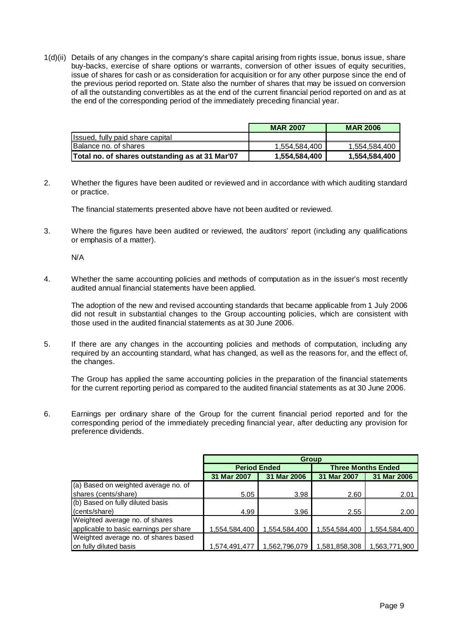1(d)(ii) Details of any changes in the company's share capital arising from rights issue, bonus issue, share buy-backs, exercise of share options or warrants, conversion of other issues of equity securities, issue of shares for cash or as consideration for acquisition or for any other purpose since the end of the previous period reported on. State also the number of shares that may be issued on conversion of all the outstanding convertibles as at the end of the current financial period reported on and as at the end of the corresponding period of the immediately preceding financial year.

|                                                 | <b>MAR 2007</b> | <b>MAR 2006</b> |
|-------------------------------------------------|-----------------|-----------------|
| Issued, fully paid share capital                |                 |                 |
| Balance no. of shares                           | 1.554.584.400   | 1,554,584,400   |
| Total no. of shares outstanding as at 31 Mar'07 | 1,554,584,400   | 1,554,584,400   |

2. Whether the figures have been audited or reviewed and in accordance with which auditing standard or practice.

The financial statements presented above have not been audited or reviewed.

3. Where the figures have been audited or reviewed, the auditors' report (including any qualifications or emphasis of a matter).

N/A

4. Whether the same accounting policies and methods of computation as in the issuer's most recently audited annual financial statements have been applied.

The adoption of the new and revised accounting standards that became applicable from 1 July 2006 did not result in substantial changes to the Group accounting policies, which are consistent with those used in the audited financial statements as at 30 June 2006.

5. If there are any changes in the accounting policies and methods of computation, including any required by an accounting standard, what has changed, as well as the reasons for, and the effect of, the changes.

The Group has applied the same accounting policies in the preparation of the financial statements for the current reporting period as compared to the audited financial statements as at 30 June 2006.

6. Earnings per ordinary share of the Group for the current financial period reported and for the corresponding period of the immediately preceding financial year, after deducting any provision for preference dividends.

|                                        | <b>Group</b>        |               |               |                           |  |
|----------------------------------------|---------------------|---------------|---------------|---------------------------|--|
|                                        | <b>Period Ended</b> |               |               | <b>Three Months Ended</b> |  |
|                                        | 31 Mar 2007         | 31 Mar 2006   | 31 Mar 2007   | 31 Mar 2006               |  |
| (a) Based on weighted average no. of   |                     |               |               |                           |  |
| shares (cents/share)                   | 5.05                | 3.98          | 2.60          | 2.01                      |  |
| (b) Based on fully diluted basis       |                     |               |               |                           |  |
| (cents/share)                          | 4.99                | 3.96          | 2.55          | 2.00                      |  |
| Weighted average no. of shares         |                     |               |               |                           |  |
| applicable to basic earnings per share | 1,554,584,400       | 1,554,584,400 | 1,554,584,400 | 1,554,584,400             |  |
| Weighted average no. of shares based   |                     |               |               |                           |  |
| on fully diluted basis                 | 1,574,491,477       | 1,562,796,079 | 1,581,858,308 | 1,563,771,900             |  |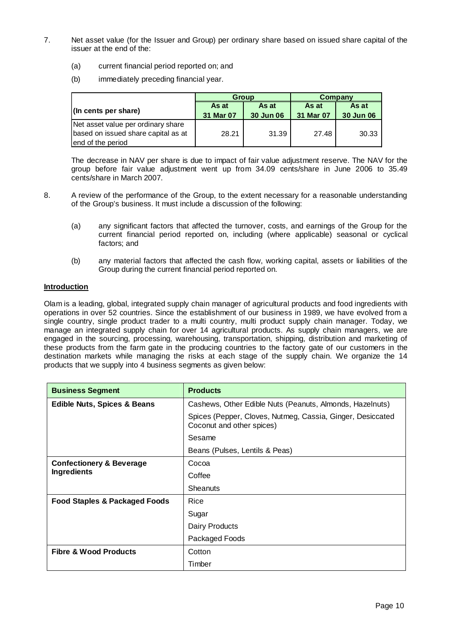- 7. Net asset value (for the Issuer and Group) per ordinary share based on issued share capital of the issuer at the end of the:
	- (a) current financial period reported on; and
	- (b) immediately preceding financial year.

|                                                                                                |                    | Group                     | Company            |                    |  |
|------------------------------------------------------------------------------------------------|--------------------|---------------------------|--------------------|--------------------|--|
| $\vert$ (In cents per share)                                                                   | As at<br>31 Mar 07 | As at<br><b>30 Jun 06</b> | As at<br>31 Mar 07 | As at<br>30 Jun 06 |  |
| Net asset value per ordinary share<br>based on issued share capital as at<br>end of the period | 28.21              | 31.39                     | 27.48              | 30.33              |  |

The decrease in NAV per share is due to impact of fair value adjustment reserve. The NAV for the group before fair value adjustment went up from 34.09 cents/share in June 2006 to 35.49 cents/share in March 2007.

- 8. A review of the performance of the Group, to the extent necessary for a reasonable understanding of the Group's business. It must include a discussion of the following:
	- (a) any significant factors that affected the turnover, costs, and earnings of the Group for the current financial period reported on, including (where applicable) seasonal or cyclical factors; and
	- (b) any material factors that affected the cash flow, working capital, assets or liabilities of the Group during the current financial period reported on.

## **Introduction**

Olam is a leading, global, integrated supply chain manager of agricultural products and food ingredients with operations in over 52 countries. Since the establishment of our business in 1989, we have evolved from a single country, single product trader to a multi country, multi product supply chain manager. Today, we manage an integrated supply chain for over 14 agricultural products. As supply chain managers, we are engaged in the sourcing, processing, warehousing, transportation, shipping, distribution and marketing of these products from the farm gate in the producing countries to the factory gate of our customers in the destination markets while managing the risks at each stage of the supply chain. We organize the 14 products that we supply into 4 business segments as given below:

| <b>Business Segment</b>                  | <b>Products</b>                                                                         |
|------------------------------------------|-----------------------------------------------------------------------------------------|
| <b>Edible Nuts, Spices &amp; Beans</b>   | Cashews, Other Edible Nuts (Peanuts, Almonds, Hazelnuts)                                |
|                                          | Spices (Pepper, Cloves, Nutmeg, Cassia, Ginger, Desiccated<br>Coconut and other spices) |
|                                          | Sesame                                                                                  |
|                                          | Beans (Pulses, Lentils & Peas)                                                          |
| <b>Confectionery &amp; Beverage</b>      | Cocoa                                                                                   |
| <b>Ingredients</b>                       | Coffee                                                                                  |
|                                          | Sheanuts                                                                                |
| <b>Food Staples &amp; Packaged Foods</b> | Rice                                                                                    |
|                                          | Sugar                                                                                   |
|                                          | Dairy Products                                                                          |
|                                          | Packaged Foods                                                                          |
| <b>Fibre &amp; Wood Products</b>         | Cotton                                                                                  |
|                                          | Timber                                                                                  |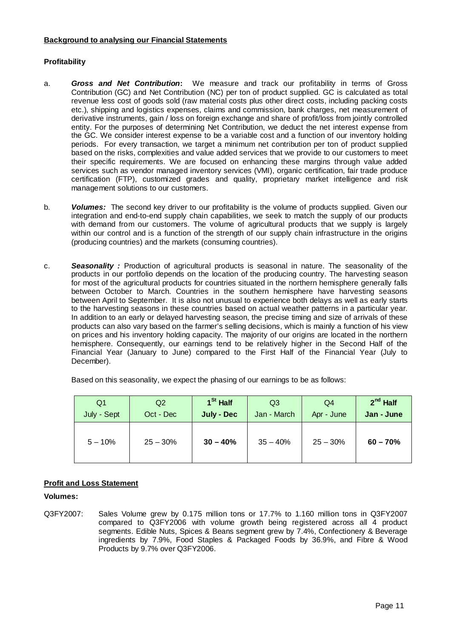## **Background to analysing our Financial Statements**

## **Profitability**

- a. *Gross and Net Contribution***:** We measure and track our profitability in terms of Gross Contribution (GC) and Net Contribution (NC) per ton of product supplied. GC is calculated as total revenue less cost of goods sold (raw material costs plus other direct costs, including packing costs etc.), shipping and logistics expenses, claims and commission, bank charges, net measurement of derivative instruments, gain / loss on foreign exchange and share of profit/loss from jointly controlled entity. For the purposes of determining Net Contribution, we deduct the net interest expense from the GC. We consider interest expense to be a variable cost and a function of our inventory holding periods. For every transaction, we target a minimum net contribution per ton of product supplied based on the risks, complexities and value added services that we provide to our customers to meet their specific requirements. We are focused on enhancing these margins through value added services such as vendor managed inventory services (VMI), organic certification, fair trade produce certification (FTP), customized grades and quality, proprietary market intelligence and risk management solutions to our customers.
- b. *Volumes:* The second key driver to our profitability is the volume of products supplied. Given our integration and end-to-end supply chain capabilities, we seek to match the supply of our products with demand from our customers. The volume of agricultural products that we supply is largely within our control and is a function of the strength of our supply chain infrastructure in the origins (producing countries) and the markets (consuming countries).
- c. *Seasonality :* Production of agricultural products is seasonal in nature. The seasonality of the products in our portfolio depends on the location of the producing country. The harvesting season for most of the agricultural products for countries situated in the northern hemisphere generally falls between October to March. Countries in the southern hemisphere have harvesting seasons between April to September. It is also not unusual to experience both delays as well as early starts to the harvesting seasons in these countries based on actual weather patterns in a particular year. In addition to an early or delayed harvesting season, the precise timing and size of arrivals of these products can also vary based on the farmer's selling decisions, which is mainly a function of his view on prices and his inventory holding capacity. The majority of our origins are located in the northern hemisphere. Consequently, our earnings tend to be relatively higher in the Second Half of the Financial Year (January to June) compared to the First Half of the Financial Year (July to December).

Based on this seasonality, we expect the phasing of our earnings to be as follows:

| Q <sub>1</sub> | Q2         | 1 <sup>St</sup> Half | Q3          | Q4         | $2^{nd}$ Half |
|----------------|------------|----------------------|-------------|------------|---------------|
| July - Sept    | Oct - Dec  | July - Dec           | Jan - March | Apr - June | Jan - June    |
| $5 - 10%$      | $25 - 30%$ | $30 - 40%$           | $35 - 40%$  | $25 - 30%$ | $60 - 70%$    |

## **Profit and Loss Statement**

**Volumes:**

Q3FY2007: Sales Volume grew by 0.175 million tons or 17.7% to 1.160 million tons in Q3FY2007 compared to Q3FY2006 with volume growth being registered across all 4 product segments. Edible Nuts, Spices & Beans segment grew by 7.4%, Confectionery & Beverage ingredients by 7.9%, Food Staples & Packaged Foods by 36.9%, and Fibre & Wood Products by 9.7% over Q3FY2006.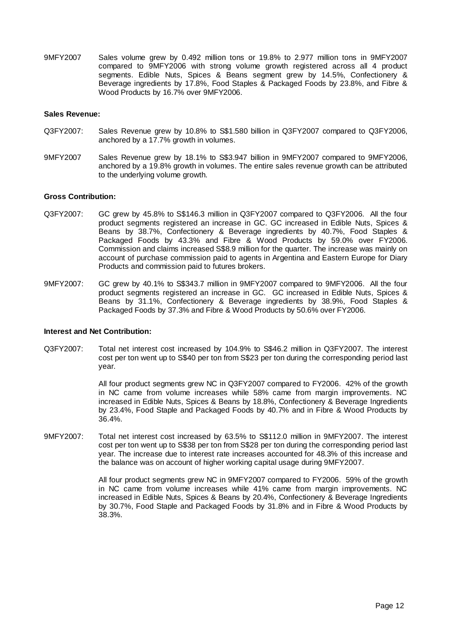9MFY2007 Sales volume grew by 0.492 million tons or 19.8% to 2.977 million tons in 9MFY2007 compared to 9MFY2006 with strong volume growth registered across all 4 product segments. Edible Nuts, Spices & Beans segment grew by 14.5%, Confectionery & Beverage ingredients by 17.8%, Food Staples & Packaged Foods by 23.8%, and Fibre & Wood Products by 16.7% over 9MFY2006.

#### **Sales Revenue:**

- Q3FY2007: Sales Revenue grew by 10.8% to S\$1.580 billion in Q3FY2007 compared to Q3FY2006, anchored by a 17.7% growth in volumes.
- 9MFY2007 Sales Revenue grew by 18.1% to S\$3.947 billion in 9MFY2007 compared to 9MFY2006, anchored by a 19.8% growth in volumes. The entire sales revenue growth can be attributed to the underlying volume growth.

#### **Gross Contribution:**

- Q3FY2007: GC grew by 45.8% to S\$146.3 million in Q3FY2007 compared to Q3FY2006. All the four product segments registered an increase in GC. GC increased in Edible Nuts, Spices & Beans by 38.7%, Confectionery & Beverage ingredients by 40.7%, Food Staples & Packaged Foods by 43.3% and Fibre & Wood Products by 59.0% over FY2006. Commission and claims increased S\$8.9 million for the quarter. The increase was mainly on account of purchase commission paid to agents in Argentina and Eastern Europe for Diary Products and commission paid to futures brokers.
- 9MFY2007: GC grew by 40.1% to S\$343.7 million in 9MFY2007 compared to 9MFY2006. All the four product segments registered an increase in GC. GC increased in Edible Nuts, Spices & Beans by 31.1%, Confectionery & Beverage ingredients by 38.9%, Food Staples & Packaged Foods by 37.3% and Fibre & Wood Products by 50.6% over FY2006.

#### **Interest and Net Contribution:**

Q3FY2007: Total net interest cost increased by 104.9% to S\$46.2 million in Q3FY2007. The interest cost per ton went up to S\$40 per ton from S\$23 per ton during the corresponding period last year.

> All four product segments grew NC in Q3FY2007 compared to FY2006. 42% of the growth in NC came from volume increases while 58% came from margin improvements. NC increased in Edible Nuts, Spices & Beans by 18.8%, Confectionery & Beverage Ingredients by 23.4%, Food Staple and Packaged Foods by 40.7% and in Fibre & Wood Products by 36.4%.

9MFY2007: Total net interest cost increased by 63.5% to S\$112.0 million in 9MFY2007. The interest cost per ton went up to S\$38 per ton from S\$28 per ton during the corresponding period last year. The increase due to interest rate increases accounted for 48.3% of this increase and the balance was on account of higher working capital usage during 9MFY2007.

> All four product segments grew NC in 9MFY2007 compared to FY2006. 59% of the growth in NC came from volume increases while 41% came from margin improvements. NC increased in Edible Nuts, Spices & Beans by 20.4%, Confectionery & Beverage Ingredients by 30.7%, Food Staple and Packaged Foods by 31.8% and in Fibre & Wood Products by 38.3%.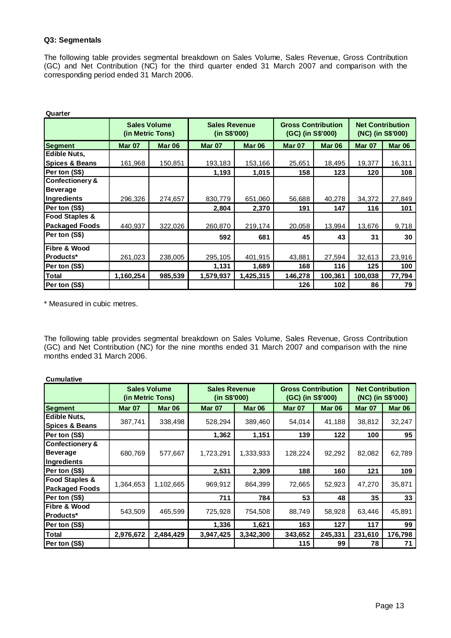## **Q3: Segmentals**

The following table provides segmental breakdown on Sales Volume, Sales Revenue, Gross Contribution (GC) and Net Contribution (NC) for the third quarter ended 31 March 2007 and comparison with the corresponding period ended 31 March 2006.

| Quarter                    |                                         |               |                                      |               |                                                |         |               |                                              |
|----------------------------|-----------------------------------------|---------------|--------------------------------------|---------------|------------------------------------------------|---------|---------------|----------------------------------------------|
|                            | <b>Sales Volume</b><br>(in Metric Tons) |               | <b>Sales Revenue</b><br>(in S\$'000) |               | <b>Gross Contribution</b><br>(GC) (in S\$'000) |         |               | <b>Net Contribution</b><br>(NC) (in S\$'000) |
| <b>Segment</b>             | Mar 07                                  | <b>Mar 06</b> | <b>Mar 07</b>                        | <b>Mar 06</b> | <b>Mar 07</b>                                  | Mar 06  | <b>Mar 07</b> | <b>Mar 06</b>                                |
| <b>Edible Nuts,</b>        |                                         |               |                                      |               |                                                |         |               |                                              |
| <b>Spices &amp; Beans</b>  | 161,968                                 | 150,851       | 193,183                              | 153,166       | 25,651                                         | 18,495  | 19,377        | 16,311                                       |
| Per ton (S\$)              |                                         |               | 1,193                                | 1,015         | 158                                            | 123     | 120           | 108                                          |
| <b>Confectionery &amp;</b> |                                         |               |                                      |               |                                                |         |               |                                              |
| <b>Beverage</b>            |                                         |               |                                      |               |                                                |         |               |                                              |
| Ingredients                | 296,326                                 | 274,657       | 830,779                              | 651,060       | 56,688                                         | 40,278  | 34,372        | 27,849                                       |
| Per ton (S\$)              |                                         |               | 2,804                                | 2,370         | 191                                            | 147     | 116           | 101                                          |
| Food Staples &             |                                         |               |                                      |               |                                                |         |               |                                              |
| <b>Packaged Foods</b>      | 440,937                                 | 322,026       | 260,870                              | 219,174       | 20,058                                         | 13,994  | 13,676        | 9,718                                        |
| Per ton (S\$)              |                                         |               | 592                                  | 681           | 45                                             | 43      | 31            | 30                                           |
| Fibre & Wood               |                                         |               |                                      |               |                                                |         |               |                                              |
| Products*                  | 261,023                                 | 238,005       | 295,105                              | 401,915       | 43,881                                         | 27,594  | 32,613        | 23,916                                       |
| Per ton (S\$)              |                                         |               | 1,131                                | 1,689         | 168                                            | 116     | 125           | 100                                          |
| <b>Total</b>               | 1,160,254                               | 985,539       | 1,579,937                            | 1,425,315     | 146,278                                        | 100,361 | 100,038       | 77,794                                       |
| Per ton (S\$)              |                                         |               |                                      |               | 126                                            | 102     | 86            | 79                                           |

\* Measured in cubic metres.

The following table provides segmental breakdown on Sales Volume, Sales Revenue, Gross Contribution (GC) and Net Contribution (NC) for the nine months ended 31 March 2007 and comparison with the nine months ended 31 March 2006.

|                                                              | <b>Sales Volume</b><br>(in Metric Tons) |               | <b>Sales Revenue</b><br>(in S\$'000) |               | <b>Gross Contribution</b><br>(GC) (in S\$'000) |         |         | <b>Net Contribution</b><br>(NC) (in S\$'000) |
|--------------------------------------------------------------|-----------------------------------------|---------------|--------------------------------------|---------------|------------------------------------------------|---------|---------|----------------------------------------------|
| <b>Segment</b>                                               | Mar 07                                  | <b>Mar 06</b> | <b>Mar 07</b>                        | <b>Mar 06</b> | Mar <sub>07</sub>                              | Mar 06  | Mar 07  | <b>Mar 06</b>                                |
| <b>Edible Nuts,</b><br><b>Spices &amp; Beans</b>             | 387,741                                 | 338,498       | 528,294                              | 389,460       | 54,014                                         | 41,188  | 38,812  | 32,247                                       |
| Per ton (S\$)                                                |                                         |               | 1,362                                | 1,151         | 139                                            | 122     | 100     | 95                                           |
| <b>Confectionery &amp;</b><br><b>Beverage</b><br>Ingredients | 680,769                                 | 577,667       | 1,723,291                            | 1,333,933     | 128,224                                        | 92,292  | 82,082  | 62,789                                       |
| Per ton (S\$)                                                |                                         |               | 2,531                                | 2,309         | 188                                            | 160     | 121     | 109                                          |
| <b>Food Staples &amp;</b><br><b>Packaged Foods</b>           | 1,364,653                               | 1,102,665     | 969,912                              | 864,399       | 72,665                                         | 52,923  | 47,270  | 35,871                                       |
| Per ton (S\$)                                                |                                         |               | 711                                  | 784           | 53                                             | 48      | 35      | 33                                           |
| Fibre & Wood<br><b>Products*</b>                             | 543,509                                 | 465,599       | 725,928                              | 754,508       | 88,749                                         | 58,928  | 63,446  | 45,891                                       |
| Per ton (S\$)                                                |                                         |               | 1,336                                | 1,621         | 163                                            | 127     | 117     | 99                                           |
| <b>Total</b>                                                 | 2,976,672                               | 2,484,429     | 3,947,425                            | 3,342,300     | 343,652                                        | 245,331 | 231,610 | 176,798                                      |
| Per ton (S\$)                                                |                                         |               |                                      |               | 115                                            | 99      | 78      | 71                                           |

### **Cumulative**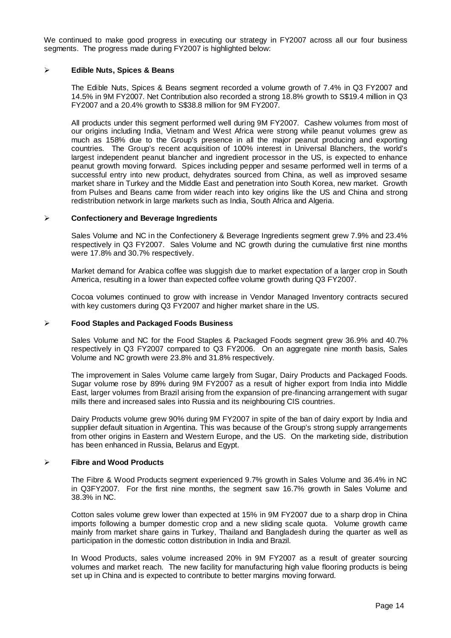We continued to make good progress in executing our strategy in FY2007 across all our four business segments. The progress made during FY2007 is highlighted below:

## **Edible Nuts, Spices & Beans**

The Edible Nuts, Spices & Beans segment recorded a volume growth of 7.4% in Q3 FY2007 and 14.5% in 9M FY2007. Net Contribution also recorded a strong 18.8% growth to S\$19.4 million in Q3 FY2007 and a 20.4% growth to S\$38.8 million for 9M FY2007.

All products under this segment performed well during 9M FY2007. Cashew volumes from most of our origins including India, Vietnam and West Africa were strong while peanut volumes grew as much as 158% due to the Group's presence in all the major peanut producing and exporting countries. The Group's recent acquisition of 100% interest in Universal Blanchers, the world's largest independent peanut blancher and ingredient processor in the US, is expected to enhance peanut growth moving forward. Spices including pepper and sesame performed well in terms of a successful entry into new product, dehydrates sourced from China, as well as improved sesame market share in Turkey and the Middle East and penetration into South Korea, new market. Growth from Pulses and Beans came from wider reach into key origins like the US and China and strong redistribution network in large markets such as India, South Africa and Algeria.

#### **Confectionery and Beverage Ingredients**

Sales Volume and NC in the Confectionery & Beverage Ingredients segment grew 7.9% and 23.4% respectively in Q3 FY2007. Sales Volume and NC growth during the cumulative first nine months were 17.8% and 30.7% respectively.

Market demand for Arabica coffee was sluggish due to market expectation of a larger crop in South America, resulting in a lower than expected coffee volume growth during Q3 FY2007.

Cocoa volumes continued to grow with increase in Vendor Managed Inventory contracts secured with key customers during Q3 FY2007 and higher market share in the US.

### **Food Staples and Packaged Foods Business**

Sales Volume and NC for the Food Staples & Packaged Foods segment grew 36.9% and 40.7% respectively in Q3 FY2007 compared to Q3 FY2006. On an aggregate nine month basis, Sales Volume and NC growth were 23.8% and 31.8% respectively.

The improvement in Sales Volume came largely from Sugar, Dairy Products and Packaged Foods. Sugar volume rose by 89% during 9M FY2007 as a result of higher export from India into Middle East, larger volumes from Brazil arising from the expansion of pre-financing arrangement with sugar mills there and increased sales into Russia and its neighbouring CIS countries.

Dairy Products volume grew 90% during 9M FY2007 in spite of the ban of dairy export by India and supplier default situation in Argentina. This was because of the Group's strong supply arrangements from other origins in Eastern and Western Europe, and the US. On the marketing side, distribution has been enhanced in Russia, Belarus and Egypt.

#### **Fibre and Wood Products**

The Fibre & Wood Products segment experienced 9.7% growth in Sales Volume and 36.4% in NC in Q3FY2007. For the first nine months, the segment saw 16.7% growth in Sales Volume and 38.3% in NC.

Cotton sales volume grew lower than expected at 15% in 9M FY2007 due to a sharp drop in China imports following a bumper domestic crop and a new sliding scale quota. Volume growth came mainly from market share gains in Turkey, Thailand and Bangladesh during the quarter as well as participation in the domestic cotton distribution in India and Brazil.

In Wood Products, sales volume increased 20% in 9M FY2007 as a result of greater sourcing volumes and market reach. The new facility for manufacturing high value flooring products is being set up in China and is expected to contribute to better margins moving forward.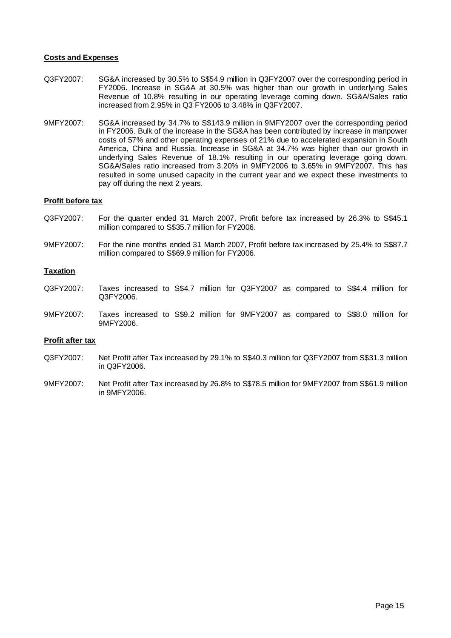## **Costs and Expenses**

- Q3FY2007: SG&A increased by 30.5% to S\$54.9 million in Q3FY2007 over the corresponding period in FY2006. Increase in SG&A at 30.5% was higher than our growth in underlying Sales Revenue of 10.8% resulting in our operating leverage coming down. SG&A/Sales ratio increased from 2.95% in Q3 FY2006 to 3.48% in Q3FY2007.
- 9MFY2007: SG&A increased by 34.7% to S\$143.9 million in 9MFY2007 over the corresponding period in FY2006. Bulk of the increase in the SG&A has been contributed by increase in manpower costs of 57% and other operating expenses of 21% due to accelerated expansion in South America, China and Russia. Increase in SG&A at 34.7% was higher than our growth in underlying Sales Revenue of 18.1% resulting in our operating leverage going down. SG&A/Sales ratio increased from 3.20% in 9MFY2006 to 3.65% in 9MFY2007. This has resulted in some unused capacity in the current year and we expect these investments to pay off during the next 2 years.

### **Profit before tax**

- Q3FY2007: For the quarter ended 31 March 2007, Profit before tax increased by 26.3% to S\$45.1 million compared to S\$35.7 million for FY2006.
- 9MFY2007: For the nine months ended 31 March 2007, Profit before tax increased by 25.4% to S\$87.7 million compared to S\$69.9 million for FY2006.

### **Taxation**

- Q3FY2007: Taxes increased to S\$4.7 million for Q3FY2007 as compared to S\$4.4 million for Q3FY2006.
- 9MFY2007: Taxes increased to S\$9.2 million for 9MFY2007 as compared to S\$8.0 million for 9MFY2006.

### **Profit after tax**

- Q3FY2007: Net Profit after Tax increased by 29.1% to S\$40.3 million for Q3FY2007 from S\$31.3 million in Q3FY2006.
- 9MFY2007: Net Profit after Tax increased by 26.8% to S\$78.5 million for 9MFY2007 from S\$61.9 million in 9MFY2006.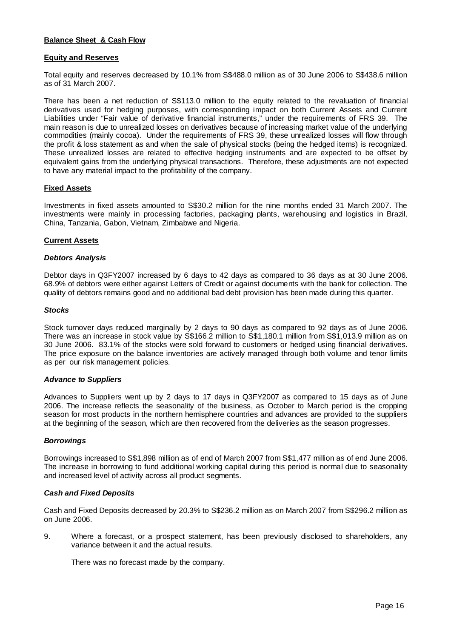## **Balance Sheet & Cash Flow**

### **Equity and Reserves**

Total equity and reserves decreased by 10.1% from S\$488.0 million as of 30 June 2006 to S\$438.6 million as of 31 March 2007.

There has been a net reduction of S\$113.0 million to the equity related to the revaluation of financial derivatives used for hedging purposes, with corresponding impact on both Current Assets and Current Liabilities under "Fair value of derivative financial instruments," under the requirements of FRS 39. The main reason is due to unrealized losses on derivatives because of increasing market value of the underlying commodities (mainly cocoa). Under the requirements of FRS 39, these unrealized losses will flow through the profit & loss statement as and when the sale of physical stocks (being the hedged items) is recognized. These unrealized losses are related to effective hedging instruments and are expected to be offset by equivalent gains from the underlying physical transactions. Therefore, these adjustments are not expected to have any material impact to the profitability of the company.

## **Fixed Assets**

Investments in fixed assets amounted to S\$30.2 million for the nine months ended 31 March 2007. The investments were mainly in processing factories, packaging plants, warehousing and logistics in Brazil, China, Tanzania, Gabon, Vietnam, Zimbabwe and Nigeria.

## **Current Assets**

### *Debtors Analysis*

Debtor days in Q3FY2007 increased by 6 days to 42 days as compared to 36 days as at 30 June 2006. 68.9% of debtors were either against Letters of Credit or against documents with the bank for collection. The quality of debtors remains good and no additional bad debt provision has been made during this quarter.

## *Stocks*

Stock turnover days reduced marginally by 2 days to 90 days as compared to 92 days as of June 2006. There was an increase in stock value by S\$166.2 million to S\$1,180.1 million from S\$1,013.9 million as on 30 June 2006. 83.1% of the stocks were sold forward to customers or hedged using financial derivatives. The price exposure on the balance inventories are actively managed through both volume and tenor limits as per our risk management policies.

### *Advance to Suppliers*

Advances to Suppliers went up by 2 days to 17 days in Q3FY2007 as compared to 15 days as of June 2006. The increase reflects the seasonality of the business, as October to March period is the cropping season for most products in the northern hemisphere countries and advances are provided to the suppliers at the beginning of the season, which are then recovered from the deliveries as the season progresses.

### *Borrowings*

Borrowings increased to S\$1,898 million as of end of March 2007 from S\$1,477 million as of end June 2006. The increase in borrowing to fund additional working capital during this period is normal due to seasonality and increased level of activity across all product segments.

## *Cash and Fixed Deposits*

Cash and Fixed Deposits decreased by 20.3% to S\$236.2 million as on March 2007 from S\$296.2 million as on June 2006.

9. Where a forecast, or a prospect statement, has been previously disclosed to shareholders, any variance between it and the actual results.

There was no forecast made by the company.